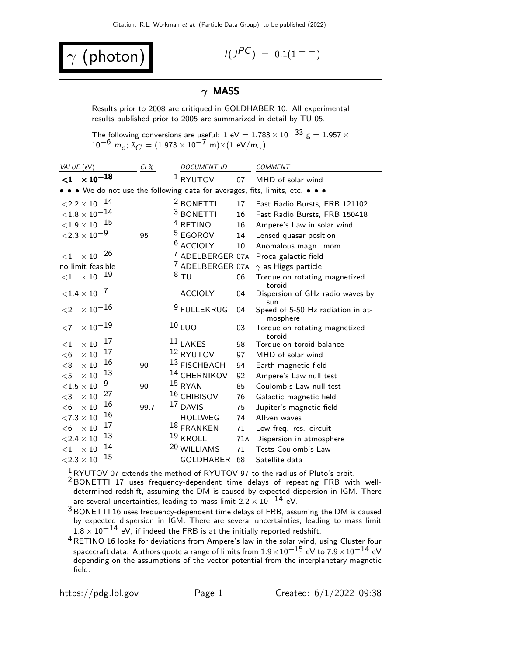$$ 

$$
I(J^{PC}) = 0.1(1^{--})
$$

## $\gamma$  MASS

Results prior to 2008 are critiqued in GOLDHABER 10. All experimental results published prior to 2005 are summarized in detail by TU 05.

The following conversions are useful: 1 eV  $= 1.783 \times 10^{-33}$  g  $= 1.957 \times$ 10<sup>−6</sup> m<sub>e</sub>;  $\lambda_C = (1.973 \times 10^{-7} \text{ m}) \times (1 \text{ eV/m}_{\gamma}).$ 

| VALUE (eV)                                                                    | $CL\%$ | DOCUMENT ID                 |     | COMMENT                                       |  |  |  |  |
|-------------------------------------------------------------------------------|--------|-----------------------------|-----|-----------------------------------------------|--|--|--|--|
| $< 1 \times 10^{-18}$                                                         |        | $1$ RYUTOV                  | 07  | MHD of solar wind                             |  |  |  |  |
| • • • We do not use the following data for averages, fits, limits, etc. • • • |        |                             |     |                                               |  |  |  |  |
| $<\!\!2.2\times10^{-14}$                                                      |        | <sup>2</sup> BONETTI        | 17  | Fast Radio Bursts, FRB 121102                 |  |  |  |  |
| ${<}1.8\times10^{-14}$                                                        |        | <sup>3</sup> BONETTI        | 16  | Fast Radio Bursts, FRB 150418                 |  |  |  |  |
| ${<}1.9\times10^{-15}$                                                        |        | <sup>4</sup> RETINO         | 16  | Ampere's Law in solar wind                    |  |  |  |  |
| ${<}2.3\times10^{-9}$                                                         | 95     | $5$ EGOROV                  | 14  | Lensed quasar position                        |  |  |  |  |
|                                                                               |        | $6$ ACCIOLY                 | 10  | Anomalous magn. mom.                          |  |  |  |  |
| $\times$ 10 <sup>-26</sup><br>${<}1$                                          |        | <sup>7</sup> ADELBERGER 07A |     | Proca galactic field                          |  |  |  |  |
| no limit feasible                                                             |        | <sup>7</sup> ADELBERGER 07A |     | $\gamma$ as Higgs particle                    |  |  |  |  |
| $\times$ $10^{-19}$<br>$<$ 1                                                  |        | $8$ TU                      | 06  | Torque on rotating magnetized<br>toroid       |  |  |  |  |
| ${<}1.4 \times 10^{-7}$                                                       |        | <b>ACCIOLY</b>              | 04  | Dispersion of GHz radio waves by<br>sun       |  |  |  |  |
| $\times$ $10^{-16}$<br>$\leq$ 2                                               |        | <sup>9</sup> FULLEKRUG      | 04  | Speed of 5-50 Hz radiation in at-<br>mosphere |  |  |  |  |
| $\times$ $10^{-19}$<br>${<}7$                                                 |        | 10 LUO                      | 03  | Torque on rotating magnetized<br>toroid       |  |  |  |  |
| $\times$ 10 $^{-17}$<br>$<$ 1                                                 |        | $11$ LAKES                  | 98  | Torque on toroid balance                      |  |  |  |  |
| $\times$ $10^{-17}$<br>$<$ 6                                                  |        | <sup>12</sup> RYUTOV        | 97  | MHD of solar wind                             |  |  |  |  |
| $\times$ $10^{-16}$<br>< 8                                                    | 90     | 13 FISCHBACH                | 94  | Earth magnetic field                          |  |  |  |  |
| $\times$ $10^{-13}$<br>$<$ 5                                                  |        | <sup>14</sup> CHERNIKOV     | 92  | Ampere's Law null test                        |  |  |  |  |
| ${<}1.5\times10^{-9}$                                                         | 90     | $15$ RYAN                   | 85  | Coulomb's Law null test                       |  |  |  |  |
| $\times$ $10^{-27}$<br>$<$ 3                                                  |        | <sup>16</sup> CHIBISOV      | 76  | Galactic magnetic field                       |  |  |  |  |
| $\times$ $10^{-16}$<br>$<$ 6                                                  | 99.7   | 17 DAVIS                    | 75  | Jupiter's magnetic field                      |  |  |  |  |
| ${<}7.3\times10^{-16}$                                                        |        | <b>HOLLWEG</b>              | 74  | Alfven waves                                  |  |  |  |  |
| $<$ 6 $\times$ 10 $^{-17}$                                                    |        | 18 FRANKEN                  | 71  | Low freq. res. circuit                        |  |  |  |  |
| $<\!\!2.4\times10^{-13}$                                                      |        | $19$ KROLL                  | 71A | Dispersion in atmosphere                      |  |  |  |  |
| $<$ 1 $\times$ 10 $^{-14}$                                                    |        | 20 WILLIAMS                 | 71  | Tests Coulomb's Law                           |  |  |  |  |
| ${<}2.3\times10^{-15}$                                                        |        | <b>GOLDHABER</b>            | 68  | Satellite data                                |  |  |  |  |

 $1$ RYUTOV 07 extends the method of RYUTOV 97 to the radius of Pluto's orbit.

2 BONETTI 17 uses frequency-dependent time delays of repeating FRB with welldetermined redshift, assuming the DM is caused by expected dispersion in IGM. There are several uncertainties, leading to mass limit  $2.2 \times 10^{-14}$  eV.

3 BONETTI 16 uses frequency-dependent time delays of FRB, assuming the DM is caused by expected dispersion in IGM. There are several uncertainties, leading to mass limit  $1.8 \times 10^{-14}$  eV, if indeed the FRB is at the initially reported redshift.

4RETINO 16 looks for deviations from Ampere's law in the solar wind, using Cluster four spacecraft data. Authors quote a range of limits from  $1.9 \times 10^{-15}$  eV to  $7.9 \times 10^{-14}$  eV depending on the assumptions of the vector potential from the interplanetary magnetic field.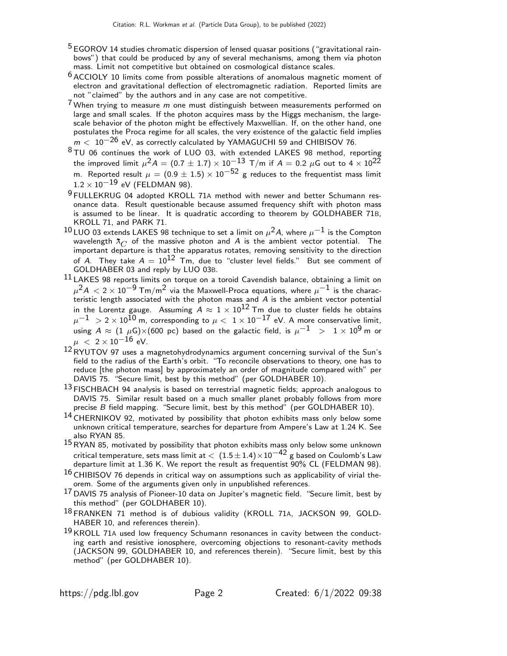- <sup>5</sup> EGOROV 14 studies chromatic dispersion of lensed quasar positions ("gravitational rainbows") that could be produced by any of several mechanisms, among them via photon mass. Limit not competitive but obtained on cosmological distance scales.
- $6$  ACCIOLY 10 limits come from possible alterations of anomalous magnetic moment of electron and gravitational deflection of electromagnetic radiation. Reported limits are not "claimed" by the authors and in any case are not competitive.
- $7$  When trying to measure  $m$  one must distinguish between measurements performed on large and small scales. If the photon acquires mass by the Higgs mechanism, the largescale behavior of the photon might be effectively Maxwellian. If, on the other hand, one postulates the Proca regime for all scales, the very existence of the galactic field implies  $m <$   $10^{-26}$  eV, as correctly calculated by YAMAGUCHI 59 and CHIBISOV 76.
- <sup>8</sup>TU 06 continues the work of LUO 03, with extended LAKES 98 method, reporting the improved limit  $\mu^2 A = (0.7 \pm 1.7) \times 10^{-13}$  T/m if  $A = 0.2$   $\mu$ G out to 4  $\times$   $10^{22}$ m. Reported result  $\mu = (0.9 \pm 1.5) \times 10^{-52}$  g reduces to the frequentist mass limit  $1.2 \times 10^{-19}$  eV (FELDMAN 98).
- 9 FULLEKRUG 04 adopted KROLL 71A method with newer and better Schumann resonance data. Result questionable because assumed frequency shift with photon mass is assumed to be linear. It is quadratic according to theorem by GOLDHABER 71B, KROLL 71, and PARK 71.
- 10 LUO 03 extends LAKES 98 technique to set a limit on  $\mu^2 A$ , where  $\mu^{-1}$  is the Compton wavelength  $\lambda_C$  of the massive photon and A is the ambient vector potential. The important departure is that the apparatus rotates, removing sensitivity to the direction of A. They take  $A = 10^{12}$  Tm, due to "cluster level fields." But see comment of GOLDHABER 03 and reply by LUO 03B.
- $^{11}$  LAKES 98 reports limits on torque on a toroid Cavendish balance, obtaining a limit on  $\mu^2 A < 2 \times 10^{-9}$  Tm/m<sup>2</sup> via the Maxwell-Proca equations, where  $\mu^{-1}$  is the characteristic length associated with the photon mass and A is the ambient vector potential in the Lorentz gauge. Assuming  $A \approx 1 \times 10^{12}$  Tm due to cluster fields he obtains  $\mu^{-1} > 2 \times 10^{10}$  m, corresponding to  $\mu < 1 \times 10^{-17}$  eV. A more conservative limit, using  $A \approx (1 \mu G) \times (600 \text{ pc})$  based on the galactic field, is  $\mu^{-1} > 1 \times 10^9 \text{ m}$  or  $\mu$  < 2 × 10<sup>-16</sup> eV.
- $12$ RYUTOV 97 uses a magnetohydrodynamics argument concerning survival of the Sun's field to the radius of the Earth's orbit. "To reconcile observations to theory, one has to reduce [the photon mass] by approximately an order of magnitude compared with" per DAVIS 75. "Secure limit, best by this method" (per GOLDHABER 10).
- <sup>13</sup> FISCHBACH 94 analysis is based on terrestrial magnetic fields; approach analogous to DAVIS 75. Similar result based on a much smaller planet probably follows from more precise B field mapping. "Secure limit, best by this method" (per GOLDHABER 10).
- 14 CHERNIKOV 92, motivated by possibility that photon exhibits mass only below some unknown critical temperature, searches for departure from Ampere's Law at 1.24 K. See also RYAN 85.
- 15RYAN 85, motivated by possibility that photon exhibits mass only below some unknown critical temperature, sets mass limit at  $\langle (1.5 \pm 1.4) \times 10^{-42} \text{ g}$  based on Coulomb's Law departure limit at 1.36 K. We report the result as frequentist 90% CL (FELDMAN 98).
- $16$  CHIBISOV 76 depends in critical way on assumptions such as applicability of virial theorem. Some of the arguments given only in unpublished references.
- $^{17}$  DAVIS 75 analysis of Pioneer-10 data on Jupiter's magnetic field. "Secure limit, best by this method" (per GOLDHABER 10).
- 18 FRANKEN 71 method is of dubious validity (KROLL 71A, JACKSON 99, GOLD-HABER 10, and references therein).
- $19$  KROLL 71A used low frequency Schumann resonances in cavity between the conducting earth and resistive ionosphere, overcoming objections to resonant-cavity methods (JACKSON 99, GOLDHABER 10, and references therein). "Secure limit, best by this method" (per GOLDHABER 10).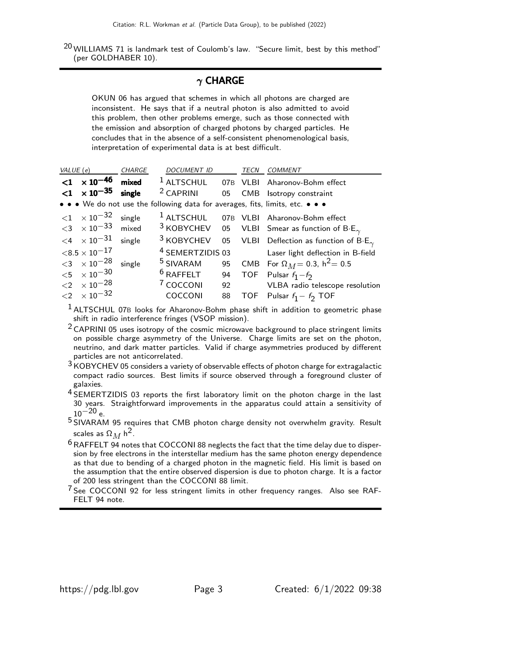$20$  WILLIAMS 71 is landmark test of Coulomb's law. "Secure limit, best by this method" (per GOLDHABER 10).

## $\gamma$  CHARGE

OKUN 06 has argued that schemes in which all photons are charged are inconsistent. He says that if a neutral photon is also admitted to avoid this problem, then other problems emerge, such as those connected with the emission and absorption of charged photons by charged particles. He concludes that in the absence of a self-consistent phenomenological basis, interpretation of experimental data is at best difficult.

| VALUE (e) |                                                    | CHARGE | DOCUMENT ID                                                                   |    | TECN | <b>COMMENT</b>                                                                             |
|-----------|----------------------------------------------------|--------|-------------------------------------------------------------------------------|----|------|--------------------------------------------------------------------------------------------|
|           | $< 1 \times 10^{-46}$                              | mixed  | $1$ ALTSCHUL                                                                  |    |      | 07B VLBI Aharonov-Bohm effect                                                              |
|           | $<$ 1 $\times$ 10 <sup>-35</sup>                   | single | $2$ CAPRINI 05                                                                |    |      | CMB Isotropy constraint                                                                    |
|           |                                                    |        | • • • We do not use the following data for averages, fits, limits, etc. • • • |    |      |                                                                                            |
|           | $\langle 1 \times 10^{-32} \text{ single} \rangle$ |        |                                                                               |    |      | <sup>1</sup> ALTSCHUL 07B VLBI Aharonov-Bohm effect                                        |
|           | $<$ 3 $\times$ 10 $^{-33}$ mixed                   |        |                                                                               |    |      | <sup>3</sup> KOBYCHEV 05 VLBI Smear as function of B·E <sub><math>\gamma</math></sub>      |
|           | $\langle 4 \times 10^{-31} \text{ single} \rangle$ |        |                                                                               |    |      | <sup>3</sup> KOBYCHEV 05 VLBI Deflection as function of B·E <sub><math>\gamma</math></sub> |
|           | $<$ 8.5 $\times$ 10 $^{-17}$                       |        |                                                                               |    |      | <sup>4</sup> SEMERTZIDIS 03 Laser light deflection in B-field                              |
|           | $<$ 3 $\times$ 10 <sup>-28</sup> single            |        | <sup>5</sup> SIVARAM                                                          |    |      | 95 CMB For $\Omega_M = 0.3$ , $h^2 = 0.5$                                                  |
|           | ${<}5 \times 10^{-30}$                             |        | $6$ RAFFELT 94                                                                |    |      | TOF Pulsar $f_1 - f_2$                                                                     |
|           | ${<}2 \times 10^{-28}$                             |        | <sup>7</sup> COCCONI                                                          |    |      | 92 VLBA radio telescope resolution                                                         |
|           | ${<}2 \times 10^{-32}$                             |        | COCCONI                                                                       | 88 |      | TOF Pulsar $f_1 - f_2$ TOF                                                                 |

<sup>1</sup> ALTSCHUL 07B looks for Aharonov-Bohm phase shift in addition to geometric phase shift in radio interference fringes (VSOP mission).

 $2$  CAPRINI 05 uses isotropy of the cosmic microwave background to place stringent limits on possible charge asymmetry of the Universe. Charge limits are set on the photon, neutrino, and dark matter particles. Valid if charge asymmetries produced by different particles are not anticorrelated.

 $3$  KOBYCHEV 05 considers a variety of observable effects of photon charge for extragalactic compact radio sources. Best limits if source observed through a foreground cluster of galaxies.

4 SEMERTZIDIS 03 reports the first laboratory limit on the photon charge in the last 30 years. Straightforward improvements in the apparatus could attain a sensitivity of  $10^{-20}$  e.

5 SIVARAM 95 requires that CMB photon charge density not overwhelm gravity. Result scales as  $\Omega_M$  h<sup>2</sup>.

 $^6$  RAFFELT 94 notes that COCCONI 88 neglects the fact that the time delay due to dispersion by free electrons in the interstellar medium has the same photon energy dependence as that due to bending of a charged photon in the magnetic field. His limit is based on the assumption that the entire observed dispersion is due to photon charge. It is a factor of 200 less stringent than the COCCONI 88 limit.

 $7$  See COCCONI 92 for less stringent limits in other frequency ranges. Also see RAF-FELT 94 note.